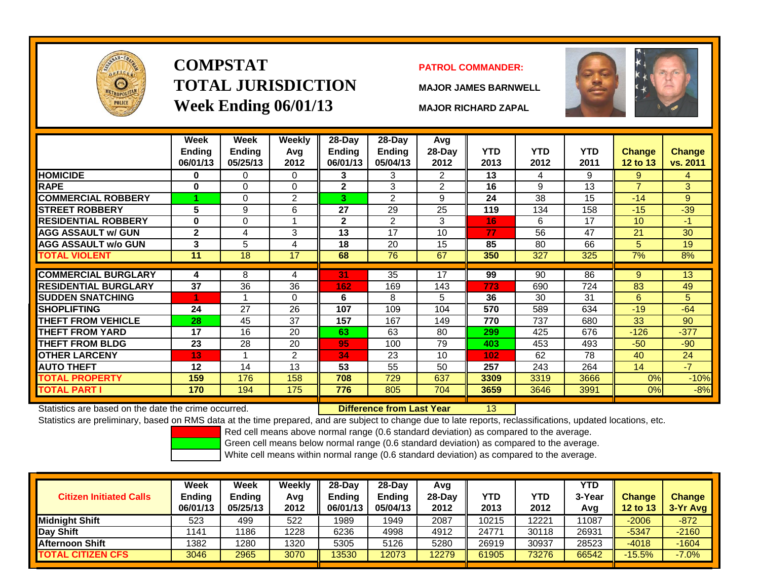

# **COMPSTATTOTAL JURISDICTIONWeek Ending 06/01/13 MAJOR RICHARD ZAPAL**

### **PATROL COMMANDER:**

**MAJOR JAMES BARNWELL**



13

|                             | Week<br><b>Ending</b><br>06/01/13 | Week<br><b>Ending</b><br>05/25/13 | <b>Weekly</b><br>Avg<br>2012 | $28$ -Day<br>Ending<br>06/01/13 | $28$ -Day<br><b>Ending</b><br>05/04/13 | Avg<br>$28$ -Day<br>2012 | <b>YTD</b><br>2013 | <b>YTD</b><br>2012 | <b>YTD</b><br>2011 | <b>Change</b><br><b>12 to 13</b> | <b>Change</b><br>vs. 2011 |
|-----------------------------|-----------------------------------|-----------------------------------|------------------------------|---------------------------------|----------------------------------------|--------------------------|--------------------|--------------------|--------------------|----------------------------------|---------------------------|
| <b>HOMICIDE</b>             | $\bf{0}$                          | 0                                 | $\Omega$                     | 3                               | 3                                      | $\overline{2}$           | 13                 | 4                  | 9                  | 9                                | 4                         |
| <b>RAPE</b>                 | $\bf{0}$                          | $\Omega$                          | $\Omega$                     | $\mathbf{2}$                    | 3                                      | $\overline{2}$           | 16                 | 9                  | 13                 | $\overline{7}$                   | 3                         |
| <b>COMMERCIAL ROBBERY</b>   |                                   | 0                                 | $\overline{2}$               | 3                               | $\overline{2}$                         | 9                        | 24                 | 38                 | 15                 | $-14$                            | 9                         |
| <b>STREET ROBBERY</b>       | 5                                 | 9                                 | 6                            | 27                              | 29                                     | 25                       | 119                | 134                | 158                | $-15$                            | $-39$                     |
| <b>RESIDENTIAL ROBBERY</b>  | $\bf{0}$                          | 0                                 |                              | $\mathbf{2}$                    | $\overline{2}$                         | 3                        | 16                 | 6                  | 17                 | 10 <sup>°</sup>                  | $-1$                      |
| <b>AGG ASSAULT w/ GUN</b>   | $\mathbf{2}$                      | 4                                 | 3                            | 13                              | 17                                     | 10                       | 77                 | 56                 | 47                 | 21                               | 30                        |
| <b>AGG ASSAULT w/o GUN</b>  | 3                                 | 5                                 | 4                            | 18                              | 20                                     | 15                       | 85                 | 80                 | 66                 | 5                                | 19                        |
| TOTAL VIOLENT               | 11                                | 18                                | 17                           | 68                              | 76                                     | 67                       | 350                | 327                | 325                | 7%                               | 8%                        |
|                             |                                   |                                   |                              |                                 |                                        |                          |                    |                    |                    |                                  |                           |
| <b>COMMERCIAL BURGLARY</b>  | 4                                 | 8                                 | 4                            | 31                              | 35                                     | 17                       | 99                 | 90                 | 86                 | 9                                | 13                        |
| <b>RESIDENTIAL BURGLARY</b> | 37                                | 36                                | 36                           | 162                             | 169                                    | 143                      | 773                | 690                | 724                | 83                               | 49                        |
| <b>SUDDEN SNATCHING</b>     | 4                                 |                                   | $\Omega$                     | 6                               | 8                                      | 5                        | 36                 | 30                 | 31                 | 6                                | 5.                        |
| <b>SHOPLIFTING</b>          | 24                                | 27                                | 26                           | 107                             | 109                                    | 104                      | 570                | 589                | 634                | $-19$                            | $-64$                     |
| <b>THEFT FROM VEHICLE</b>   | 28                                | 45                                | 37                           | 157                             | 167                                    | 149                      | 770                | 737                | 680                | 33                               | 90                        |
| THEFT FROM YARD             | 17                                | 16                                | 20                           | 63                              | 63                                     | 80                       | 299                | 425                | 676                | $-126$                           | $-377$                    |
| <b>THEFT FROM BLDG</b>      | 23                                | 28                                | 20                           | 95                              | 100                                    | 79                       | 403                | 453                | 493                | $-50$                            | $-90$                     |
| <b>OTHER LARCENY</b>        | 13                                | 1                                 | 2                            | 34                              | 23                                     | 10                       | 102                | 62                 | 78                 | 40                               | 24                        |
| <b>AUTO THEFT</b>           | 12                                | 14                                | 13                           | 53                              | 55                                     | 50                       | 257                | 243                | 264                | 14                               | $-7$                      |
| <b>TOTAL PROPERTY</b>       | 159                               | 176                               | 158                          | 708                             | 729                                    | 637                      | 3309               | 3319               | 3666               | 0%                               | $-10%$                    |
| TOTAL PART I                | 170                               | 194                               | 175                          | 776                             | 805                                    | 704                      | 3659               | 3646               | 3991               | 0%                               | $-8%$                     |
|                             |                                   |                                   |                              |                                 |                                        |                          |                    |                    |                    |                                  |                           |

Statistics are based on the date the crime occurred. **Difference from Last Year** 

Statistics are preliminary, based on RMS data at the time prepared, and are subject to change due to late reports, reclassifications, updated locations, etc.

Red cell means above normal range (0.6 standard deviation) as compared to the average.

Green cell means below normal range (0.6 standard deviation) as compared to the average.

| <b>Citizen Initiated Calls</b> | Week<br>Ending<br>06/01/13 | <b>Week</b><br><b>Ending</b><br>05/25/13 | Weekly<br>Avg<br>2012 | $28-Dav$<br><b>Endina</b><br>06/01/13 | 28-Day<br><b>Ending</b><br>05/04/13 | Avg<br>$28-Dav$<br>2012 | <b>YTD</b><br>2013 | YTD<br>2012 | <b>YTD</b><br>3-Year<br>Avg | <b>Change</b><br><b>12 to 13</b> | <b>Change</b><br>3-Yr Avg |
|--------------------------------|----------------------------|------------------------------------------|-----------------------|---------------------------------------|-------------------------------------|-------------------------|--------------------|-------------|-----------------------------|----------------------------------|---------------------------|
| Midniaht Shift                 | 523                        | 499                                      | 522                   | 1989                                  | 1949                                | 2087                    | 10215              | 12221       | 11087                       | $-2006$                          | $-872$                    |
| Day Shift                      | 1141                       | 186                                      | 1228                  | 6236                                  | 4998                                | 4912                    | 24771              | 30118       | 26931                       | $-5347$                          | $-2160$                   |
| <b>Afternoon Shift</b>         | 1382                       | 1280                                     | 1320                  | 5305                                  | 5126                                | 5280                    | 26919              | 30937       | 28523                       | $-4018$                          | $-1604$                   |
| <b>TOTAL CITIZEN CFS</b>       | 3046                       | 2965                                     | 3070                  | 13530                                 | 12073                               | 12279                   | 61905              | 73276       | 66542                       | $-15.5%$                         | $-7.0%$                   |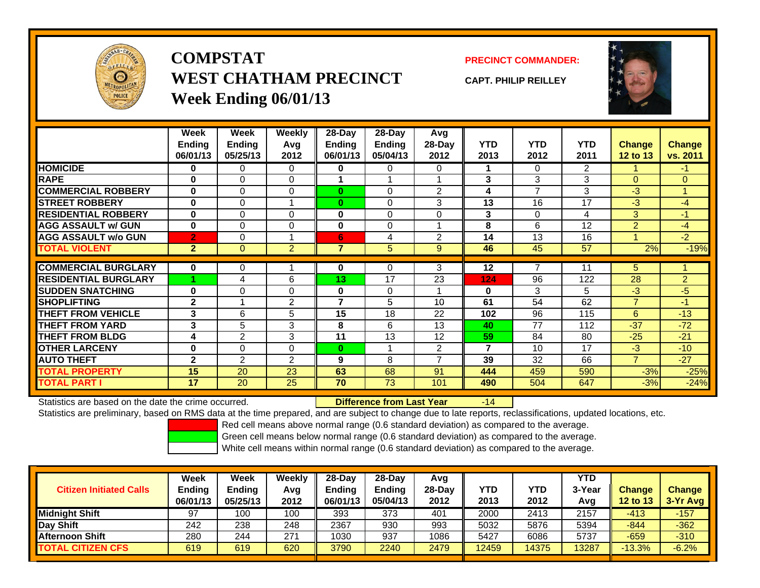

**COMPSTATWEST CHATHAM PRECINCTWeek Ending 06/01/13**

**PRECINCT COMMANDER:**

**CAPT. PHILIP REILLEY**



|                             | Week           | Week           | Weekly         | 28-Day   | $28-Day$      | <b>Avg</b>               |                |            |                |                |                |
|-----------------------------|----------------|----------------|----------------|----------|---------------|--------------------------|----------------|------------|----------------|----------------|----------------|
|                             | <b>Ending</b>  | <b>Ending</b>  | Avg            | Ending   | <b>Ending</b> | 28-Day                   | <b>YTD</b>     | <b>YTD</b> | <b>YTD</b>     | <b>Change</b>  | <b>Change</b>  |
|                             | 06/01/13       | 05/25/13       | 2012           | 06/01/13 | 05/04/13      | 2012                     | 2013           | 2012       | 2011           | 12 to 13       | vs. 2011       |
| <b>HOMICIDE</b>             | 0              | 0              | 0              | 0        | 0             | 0                        |                | $\Omega$   | $\overline{2}$ |                | $-1$           |
| <b>RAPE</b>                 | $\bf{0}$       | $\Omega$       | 0              |          |               |                          | 3              | 3          | 3              | $\Omega$       | $\Omega$       |
| <b>COMMERCIAL ROBBERY</b>   | $\bf{0}$       | $\Omega$       | 0              | $\bf{0}$ | 0             | $\overline{2}$           | 4              | 7          | 3              | $-3$           | $\mathbf{1}$   |
| <b>STREET ROBBERY</b>       | $\bf{0}$       | 0              |                | $\bf{0}$ | 0             | 3                        | 13             | 16         | 17             | $-3$           | $-4$           |
| <b>RESIDENTIAL ROBBERY</b>  | $\bf{0}$       | $\Omega$       | $\Omega$       | $\bf{0}$ | $\Omega$      | $\Omega$                 | 3              | $\Omega$   | 4              | 3              | $-1$           |
| <b>AGG ASSAULT w/ GUN</b>   | $\bf{0}$       | $\Omega$       | $\mathbf 0$    | $\bf{0}$ | $\Omega$      |                          | 8              | 6          | 12             | $\overline{2}$ | $-4$           |
| <b>AGG ASSAULT w/o GUN</b>  | $\overline{2}$ | 0              |                | 6        | 4             | 2                        | 14             | 13         | 16             |                | $-2$           |
| <b>TOTAL VIOLENT</b>        | $\overline{2}$ | $\overline{0}$ | $\overline{2}$ | 7        | 5             | 9                        | 46             | 45         | 57             | 2%             | $-19%$         |
|                             |                |                |                |          |               |                          |                |            |                |                |                |
| <b>COMMERCIAL BURGLARY</b>  | 0              | 0              |                | 0        | 0             | 3                        | 12             |            | 11             | 5              |                |
| <b>RESIDENTIAL BURGLARY</b> |                | 4              | 6              | 13       | 17            | 23                       | 124            | 96         | 122            | 28             | $\overline{2}$ |
| <b>SUDDEN SNATCHING</b>     | $\bf{0}$       | 0              | 0              | $\bf{0}$ | $\Omega$      |                          | $\bf{0}$       | 3          | 5              | $-3$           | $-5$           |
| <b>SHOPLIFTING</b>          | $\mathbf{2}$   |                | 2              | 7        | 5             | 10 <sup>1</sup>          | 61             | 54         | 62             | $\overline{7}$ | $-1$           |
| <b>THEFT FROM VEHICLE</b>   | 3              | 6              | 5              | 15       | 18            | 22                       | 102            | 96         | 115            | 6              | $-13$          |
| <b>THEFT FROM YARD</b>      | 3              | 5              | 3              | 8        | 6             | 13                       | 40             | 77         | 112            | $-37$          | $-72$          |
| <b>THEFT FROM BLDG</b>      | 4              | $\overline{2}$ | 3              | 11       | 13            | 12                       | 59             | 84         | 80             | $-25$          | $-21$          |
| <b>OTHER LARCENY</b>        | $\bf{0}$       | 0              | 0              | $\bf{0}$ |               | 2                        | $\overline{7}$ | 10         | 17             | $-3$           | $-10$          |
| <b>AUTO THEFT</b>           | $\mathbf{2}$   | $\overline{2}$ | 2              | 9        | 8             | $\overline{\phantom{a}}$ | 39             | 32         | 66             | $\overline{7}$ | $-27$          |
| <b>TOTAL PROPERTY</b>       | 15             | 20             | 23             | 63       | 68            | 91                       | 444            | 459        | 590            | $-3%$          | $-25%$         |
| <b>TOTAL PART I</b>         | 17             | 20             | 25             | 70       | 73            | 101                      | 490            | 504        | 647            | $-3%$          | $-24%$         |

Statistics are based on the date the crime occurred. **Difference from Last Year** 

Statistics are preliminary, based on RMS data at the time prepared, and are subject to change due to late reports, reclassifications, updated locations, etc.

-14

Red cell means above normal range (0.6 standard deviation) as compared to the average.

Green cell means below normal range (0.6 standard deviation) as compared to the average.

| <b>Citizen Initiated Calls</b> | Week<br>Ending<br>06/01/13 | <b>Week</b><br><b>Ending</b><br>05/25/13 | Weekly<br>Avg<br>2012 | 28-Dav<br><b>Endina</b><br>06/01/13 | 28-Dav<br>Endina<br>05/04/13 | Avg<br>28-Day<br>2012 | YTD<br>2013 | YTD<br>2012 | YTD<br>3-Year<br>Avg | <b>Change</b><br><b>12 to 13</b> | <b>Change</b><br>3-Yr Avg |
|--------------------------------|----------------------------|------------------------------------------|-----------------------|-------------------------------------|------------------------------|-----------------------|-------------|-------------|----------------------|----------------------------------|---------------------------|
| <b>Midnight Shift</b>          | 97                         | 100                                      | 100                   | 393                                 | 373                          | 401                   | 2000        | 2413        | 2157                 | $-413$                           | $-157$                    |
| Day Shift                      | 242                        | 238                                      | 248                   | 2367                                | 930                          | 993                   | 5032        | 5876        | 5394                 | $-844$                           | $-362$                    |
| <b>Afternoon Shift</b>         | 280                        | 244                                      | 271                   | 1030                                | 937                          | 1086                  | 5427        | 6086        | 5737                 | $-659$                           | $-310$                    |
| <b>TOTAL CITIZEN CFS</b>       | 619                        | 619                                      | 620                   | 3790                                | 2240                         | 2479                  | 12459       | 14375       | 13287                | $-13.3%$                         | $-6.2%$                   |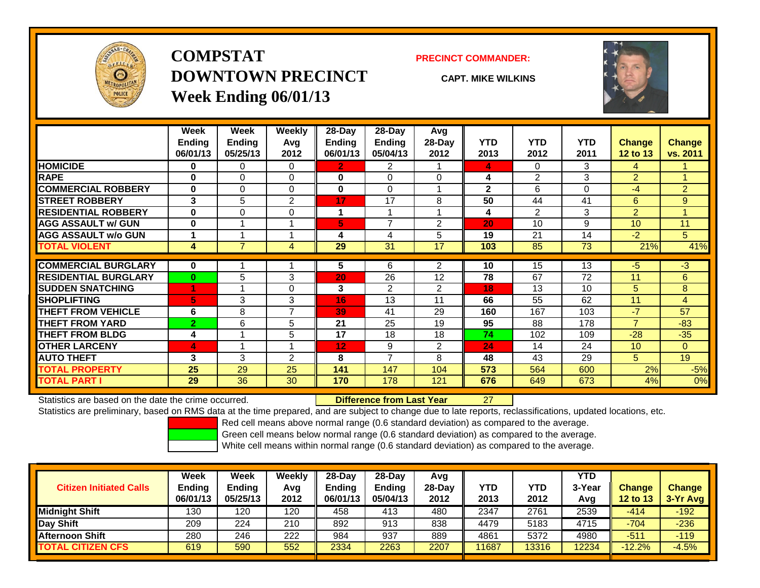

## **COMPSTATDOWNTOWN PRECINCTWeek Ending 06/01/13**

### **PRECINCT COMMANDER:**

**CAPT. MIKE WILKINS**



|                             | Week           | Week           | <b>Weekly</b> | $28$ -Day               | $28$ -Day      | Avg            |              |                |            |                 |                |
|-----------------------------|----------------|----------------|---------------|-------------------------|----------------|----------------|--------------|----------------|------------|-----------------|----------------|
|                             | <b>Ending</b>  | <b>Ending</b>  | Avg           | Ending                  | <b>Ending</b>  | 28-Day         | <b>YTD</b>   | <b>YTD</b>     | <b>YTD</b> | <b>Change</b>   | <b>Change</b>  |
|                             | 06/01/13       | 05/25/13       | 2012          | 06/01/13                | 05/04/13       | 2012           | 2013         | 2012           | 2011       | <b>12 to 13</b> | vs. 2011       |
| <b>HOMICIDE</b>             | $\bf{0}$       | 0              | $\Omega$      | $\mathbf{2}$            | 2              |                | 4            | $\Omega$       | 3          | 4               |                |
| <b>RAPE</b>                 | $\bf{0}$       | $\Omega$       | $\Omega$      | $\bf{0}$                | $\Omega$       | $\Omega$       | 4            | $\overline{2}$ | 3          | $\overline{2}$  |                |
| <b>COMMERCIAL ROBBERY</b>   | $\bf{0}$       | $\Omega$       | $\Omega$      | $\mathbf 0$             | $\Omega$       |                | $\mathbf{2}$ | 6              | 0          | -4              | $\overline{2}$ |
| <b>STREET ROBBERY</b>       | 3              | 5              | 2             | 17                      | 17             | 8              | 50           | 44             | 41         | 6               | 9              |
| <b>RESIDENTIAL ROBBERY</b>  | $\bf{0}$       | $\Omega$       | $\Omega$      | 1                       | $\overline{A}$ | 4              | 4            | 2              | 3          | 2               | A              |
| <b>AGG ASSAULT w/ GUN</b>   | $\bf{0}$       | 1              |               | $\overline{\mathbf{5}}$ | 7              | 2              | 20           | 10             | 9          | 10              | 11             |
| <b>AGG ASSAULT w/o GUN</b>  |                |                |               | 4                       | 4              | 5              | 19           | 21             | 14         | $-2$            | 5              |
| <b>TOTAL VIOLENT</b>        | 4              | $\overline{7}$ | 4             | 29                      | 31             | 17             | 103          | 85             | 73         | 21%             | 41%            |
| <b>COMMERCIAL BURGLARY</b>  | $\bf{0}$       |                |               | 5                       | 6              | $\overline{2}$ | 10           | 15             | 13         | -5              | $-3$           |
| <b>RESIDENTIAL BURGLARY</b> | $\bf{0}$       |                | 3             | 20                      | 26             | 12             | 78           | 67             | 72         | 11              | 6              |
|                             |                | 5              |               |                         |                |                |              |                |            |                 |                |
| <b>SUDDEN SNATCHING</b>     | и              |                | $\Omega$      | 3                       | $\overline{2}$ | $\overline{2}$ | 18           | 13             | 10         | 5               | 8              |
| <b>SHOPLIFTING</b>          | 5              | 3              | 3             | 16                      | 13             | 11             | 66           | 55             | 62         | 11              | 4              |
| <b>THEFT FROM VEHICLE</b>   | 6              | 8              | 7             | 39                      | 41             | 29             | 160          | 167            | 103        | $-7$            | 57             |
| <b>THEFT FROM YARD</b>      | $\overline{2}$ | 6              | 5             | 21                      | 25             | 19             | 95           | 88             | 178        | $\overline{7}$  | $-83$          |
| <b>THEFT FROM BLDG</b>      | 4              | 4              | 5             | 17                      | 18             | 18             | 74           | 102            | 109        | $-28$           | $-35$          |
| <b>OTHER LARCENY</b>        | $\overline{4}$ | 1              |               | 12                      | 9              | $\overline{2}$ | 24           | 14             | 24         | 10              | $\Omega$       |
| <b>AUTO THEFT</b>           | 3              | 3              | 2             | 8                       | 7              | 8              | 48           | 43             | 29         | 5               | 19             |
| <b>TOTAL PROPERTY</b>       | 25             | 29             | 25            | 141                     | 147            | 104            | 573          | 564            | 600        | 2%              | $-5%$          |
| <b>TOTAL PART I</b>         | 29             | 36             | 30            | 170                     | 178            | 121            | 676          | 649            | 673        | 4%              | $0\%$          |

Statistics are based on the date the crime occurred. **Difference from Last Year** 

r 27

Statistics are preliminary, based on RMS data at the time prepared, and are subject to change due to late reports, reclassifications, updated locations, etc.

Red cell means above normal range (0.6 standard deviation) as compared to the average.

Green cell means below normal range (0.6 standard deviation) as compared to the average.

|                                | Week          | Week          | Weekly | $28-Day$      | $28-Day$      | Avg    |       |            | <b>YTD</b> |               |               |
|--------------------------------|---------------|---------------|--------|---------------|---------------|--------|-------|------------|------------|---------------|---------------|
| <b>Citizen Initiated Calls</b> | <b>Ending</b> | <b>Ending</b> | Avg    | <b>Ending</b> | <b>Endina</b> | 28-Dav | YTD   | <b>YTD</b> | 3-Year     | <b>Change</b> | <b>Change</b> |
|                                | 06/01/13      | 05/25/13      | 2012   | 06/01/13      | 05/04/13      | 2012   | 2013  | 2012       | Avg        | 12 to 13      | $3-Yr$ Avg    |
| <b>Midnight Shift</b>          | 130           | 120           | 120    | 458           | 413           | 480    | 2347  | 2761       | 2539       | $-414$        | $-192$        |
| Day Shift                      | 209           | 224           | 210    | 892           | 913           | 838    | 4479  | 5183       | 4715       | $-704$        | $-236$        |
| <b>Afternoon Shift</b>         | 280           | 246           | 222    | 984           | 937           | 889    | 4861  | 5372       | 4980       | $-511$        | $-119$        |
| <b>TOTAL CITIZEN CFS</b>       | 619           | 590           | 552    | 2334          | 2263          | 2207   | 11687 | 13316      | 2234       | $-12.2%$      | $-4.5%$       |
|                                |               |               |        |               |               |        |       |            |            |               |               |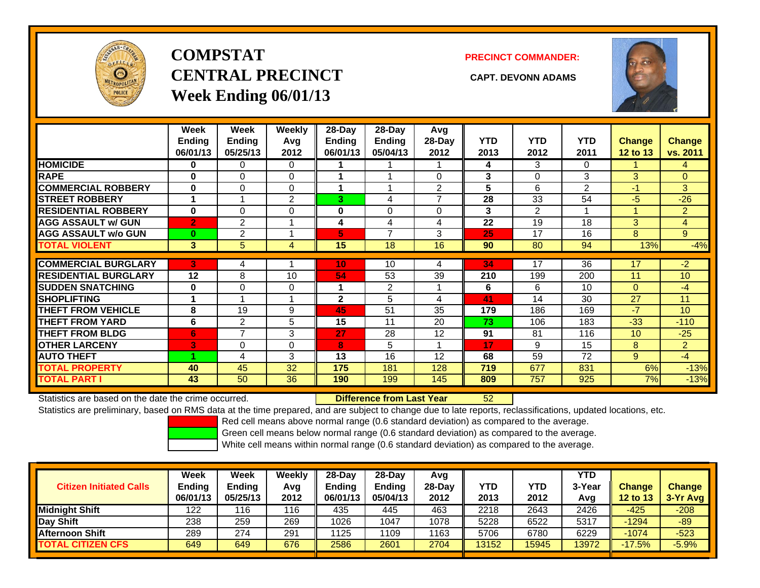

# **COMPSTATCENTRAL PRECINCT CAPT. DEVONN ADAMSWeek Ending 06/01/13**

**PRECINCT COMMANDER:**



|                             | Week<br><b>Ending</b><br>06/01/13 | Week<br><b>Ending</b><br>05/25/13 | <b>Weekly</b><br>Avq<br>2012 | 28-Day<br>Ending<br>06/01/13 | 28-Day<br><b>Ending</b><br>05/04/13 | Avg<br>28-Day<br>2012 | <b>YTD</b><br>2013 | <b>YTD</b><br>2012 | <b>YTD</b><br>2011 | <b>Change</b><br>12 to 13 | <b>Change</b><br>vs. 2011 |
|-----------------------------|-----------------------------------|-----------------------------------|------------------------------|------------------------------|-------------------------------------|-----------------------|--------------------|--------------------|--------------------|---------------------------|---------------------------|
| <b>HOMICIDE</b>             | 0                                 | 0                                 | 0                            |                              |                                     |                       | 4                  | 3                  | 0                  |                           | 4                         |
| <b>RAPE</b>                 | $\bf{0}$                          | $\Omega$                          | 0                            |                              |                                     | 0                     | 3                  | $\Omega$           | 3                  | 3                         | $\overline{0}$            |
| <b>COMMERCIAL ROBBERY</b>   | $\bf{0}$                          | $\Omega$                          | $\Omega$                     |                              |                                     | $\overline{2}$        | 5                  | 6                  | $\overline{2}$     | $-1$                      | $\overline{3}$            |
| <b>STREET ROBBERY</b>       |                                   |                                   | $\overline{2}$               | 3                            | 4                                   | $\overline{ }$        | 28                 | 33                 | 54                 | $-5$                      | $-26$                     |
| <b>RESIDENTIAL ROBBERY</b>  | $\bf{0}$                          | $\Omega$                          | 0                            | 0                            | 0                                   | $\Omega$              | 3                  | $\overline{2}$     | 1                  |                           | $\overline{2}$            |
| <b>AGG ASSAULT w/ GUN</b>   | $\overline{2}$                    | 2                                 |                              | 4                            | 4                                   | 4                     | 22                 | 19                 | 18                 | 3                         | $\overline{4}$            |
| <b>AGG ASSAULT w/o GUN</b>  | $\bf{0}$                          | $\overline{2}$                    |                              | 5                            | $\overline{ }$                      | 3                     | 25                 | 17                 | 16                 | 8                         | 9                         |
| <b>TOTAL VIOLENT</b>        | $\mathbf{3}$                      | 5                                 | 4                            | 15                           | 18                                  | 16                    | 90                 | 80                 | 94                 | 13%                       | $-4%$                     |
| <b>COMMERCIAL BURGLARY</b>  | 3                                 |                                   |                              | 10                           | 10                                  |                       | 34                 | 17                 | 36                 | 17                        | -2                        |
|                             |                                   | 4                                 |                              |                              |                                     | 4                     |                    |                    |                    |                           |                           |
| <b>RESIDENTIAL BURGLARY</b> | 12                                | 8                                 | 10                           | 54                           | 53                                  | 39                    | 210                | 199                | 200                | 11                        | 10                        |
| <b>SUDDEN SNATCHING</b>     | $\bf{0}$                          | $\Omega$                          | 0                            |                              | $\overline{2}$                      |                       | 6                  | 6                  | 10                 | $\mathbf{0}$              | $-4$                      |
| <b>SHOPLIFTING</b>          |                                   |                                   | 4                            | $\mathbf{2}$                 | 5                                   | 4                     | 41                 | 14                 | 30                 | 27                        | 11                        |
| <b>THEFT FROM VEHICLE</b>   | 8                                 | 19                                | 9                            | 45                           | 51                                  | 35                    | 179                | 186                | 169                | $-7$                      | 10 <sup>1</sup>           |
| <b>THEFT FROM YARD</b>      | 6                                 | $\overline{2}$                    | 5                            | 15                           | 11                                  | 20                    | 73                 | 106                | 183                | $-33$                     | $-110$                    |
| <b>THEFT FROM BLDG</b>      | 6                                 | $\overline{7}$                    | 3                            | 27                           | 28                                  | 12                    | 91                 | 81                 | 116                | 10                        | $-25$                     |
| <b>OTHER LARCENY</b>        | 3                                 | $\Omega$                          | $\Omega$                     | 8                            | 5                                   |                       | 17                 | 9                  | 15                 | 8                         | $\overline{2}$            |
| <b>AUTO THEFT</b>           |                                   | 4                                 | 3                            | 13                           | 16                                  | 12                    | 68                 | 59                 | 72                 | 9                         | $-4$                      |
| <b>TOTAL PROPERTY</b>       | 40                                | 45                                | 32                           | 175                          | 181                                 | 128                   | 719                | 677                | 831                | 6%                        | $-13%$                    |
| <b>TOTAL PART I</b>         | 43                                | 50                                | 36                           | 190                          | 199                                 | 145                   | 809                | 757                | 925                | 7%                        | $-13%$                    |

Statistics are based on the date the crime occurred. **Difference from Last Year** 

52

Statistics are preliminary, based on RMS data at the time prepared, and are subject to change due to late reports, reclassifications, updated locations, etc.

Red cell means above normal range (0.6 standard deviation) as compared to the average.

Green cell means below normal range (0.6 standard deviation) as compared to the average.

| <b>Citizen Initiated Calls</b> | Week<br><b>Ending</b><br>06/01/13 | Week<br>Ending<br>05/25/13 | Weekly<br>Avg<br>2012 | 28-Day<br><b>Ending</b><br>06/01/13 | 28-Day<br><b>Ending</b><br>05/04/13 | Avg<br>$28-Day$<br>2012 | <b>YTD</b><br>2013 | <b>YTD</b><br>2012 | <b>YTD</b><br>3-Year<br>Avg | <b>Change</b><br><b>12 to 13</b> | <b>Change</b><br>$3-Yr$ Avg |
|--------------------------------|-----------------------------------|----------------------------|-----------------------|-------------------------------------|-------------------------------------|-------------------------|--------------------|--------------------|-----------------------------|----------------------------------|-----------------------------|
| <b>Midnight Shift</b>          | 122                               | 116                        | 116                   | 435                                 | 445                                 | 463                     | 2218               | 2643               | 2426                        | $-425$                           | $-208$                      |
| Day Shift                      | 238                               | 259                        | 269                   | 1026                                | 1047                                | 1078                    | 5228               | 6522               | 5317                        | -1294                            | $-89$                       |
| <b>Afternoon Shift</b>         | 289                               | 274                        | 291                   | 1125                                | 1109                                | 1163                    | 5706               | 6780               | 6229                        | $-1074$                          | $-523$                      |
| <b>TOTAL CITIZEN CFS</b>       | 649                               | 649                        | 676                   | 2586                                | 2601                                | 2704                    | 13152              | 15945              | 3972                        | $-17.5%$                         | $-5.9%$                     |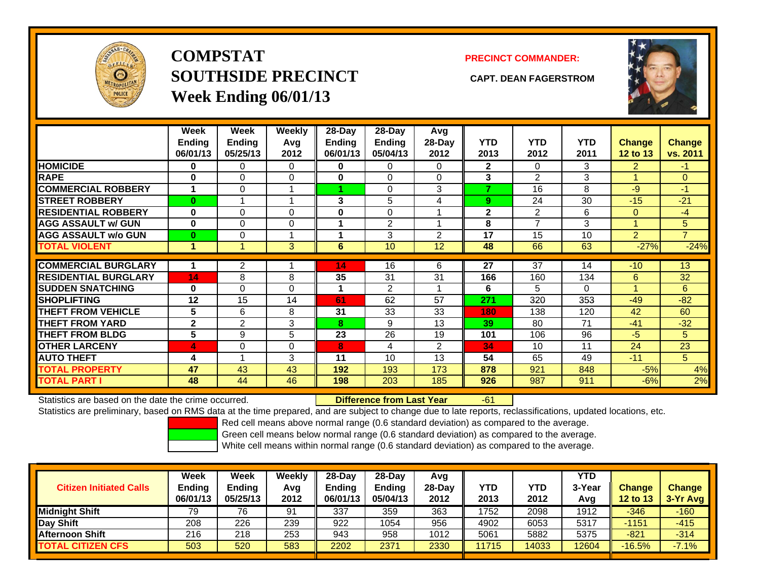

# **COMPSTATSOUTHSIDE PRECINCT CAPT. DEAN FAGERSTROMWeek Ending 06/01/13**

### **PRECINCT COMMANDER:**



|                             | Week<br><b>Ending</b><br>06/01/13 | Week<br>Ending<br>05/25/13 | Weekly<br>Avg<br>2012 | $28$ -Day<br>Ending<br>06/01/13 | $28-Day$<br><b>Ending</b><br>05/04/13 | Avg<br>$28-Day$<br>2012 | <b>YTD</b><br>2013 | <b>YTD</b><br>2012 | <b>YTD</b><br>2011 | <b>Change</b><br>12 to 13 | <b>Change</b><br>vs. 2011 |
|-----------------------------|-----------------------------------|----------------------------|-----------------------|---------------------------------|---------------------------------------|-------------------------|--------------------|--------------------|--------------------|---------------------------|---------------------------|
| <b>HOMICIDE</b>             | 0                                 | 0                          | 0                     | 0                               | 0                                     | 0                       | $\mathbf{2}$       | $\Omega$           | 3                  | $\overline{2}$            | $-1$                      |
| <b>RAPE</b>                 | 0                                 | $\Omega$                   | 0                     | 0                               | 0                                     | $\Omega$                | 3                  | $\mathfrak{p}$     | 3                  |                           | $\Omega$                  |
| <b>COMMERCIAL ROBBERY</b>   | 1                                 | $\Omega$                   |                       |                                 | $\Omega$                              | 3                       | 7                  | 16                 | 8                  | -9                        | $-1$                      |
| <b>STREET ROBBERY</b>       | $\bf{0}$                          |                            |                       | 3                               | 5                                     | 4                       | 9                  | 24                 | 30                 | $-15$                     | $-21$                     |
| <b>RESIDENTIAL ROBBERY</b>  | $\bf{0}$                          | $\Omega$                   | 0                     | $\bf{0}$                        | 0                                     |                         | $\mathbf{2}$       | 2                  | 6                  | $\Omega$                  | -4                        |
| <b>AGG ASSAULT w/ GUN</b>   | $\bf{0}$                          | $\Omega$                   | $\Omega$              |                                 | 2                                     |                         | 8                  | $\overline{7}$     | 3                  |                           | 5                         |
| <b>AGG ASSAULT w/o GUN</b>  | $\bf{0}$                          | 0                          |                       |                                 | 3                                     | 2                       | 17                 | 15                 | 10                 | $\overline{2}$            | $\overline{7}$            |
| <b>TOTAL VIOLENT</b>        | 1                                 |                            | 3                     | 6                               | 10                                    | 12                      | 48                 | 66                 | 63                 | $-27%$                    | $-24%$                    |
| <b>COMMERCIAL BURGLARY</b>  |                                   | $\overline{c}$             |                       | 14                              | 16                                    | 6                       | 27                 | 37                 | 14                 | $-10$                     | 13                        |
| <b>RESIDENTIAL BURGLARY</b> | 14                                | 8                          | 8                     | 35                              | 31                                    | 31                      | 166                | 160                | 134                | 6                         | 32                        |
| <b>SUDDEN SNATCHING</b>     | 0                                 | $\Omega$                   | $\Omega$              | 1                               | 2                                     |                         | 6                  | 5                  | 0                  |                           | 6                         |
| <b>SHOPLIFTING</b>          | 12                                | 15                         | 14                    | 61                              | 62                                    | 57                      | 271                | 320                | 353                | $-49$                     | $-82$                     |
| <b>THEFT FROM VEHICLE</b>   | 5                                 | 6                          | 8                     | 31                              | 33                                    | 33                      | 180                | 138                | 120                | 42                        | 60                        |
| <b>THEFT FROM YARD</b>      | $\mathbf 2$                       | $\overline{2}$             | 3                     | 8                               | 9                                     | 13                      | 39                 | 80                 | 71                 | $-41$                     | $-32$                     |
| <b>THEFT FROM BLDG</b>      | 5                                 | 9                          | 5                     | 23                              | 26                                    | 19                      | 101                | 106                | 96                 | -5                        | 5                         |
| <b>OTHER LARCENY</b>        | 4                                 | 0                          | $\Omega$              | 8                               | 4                                     | 2                       | 34                 | 10                 | 11                 | 24                        | 23                        |
| <b>AUTO THEFT</b>           | 4                                 |                            | 3                     | 11                              | 10                                    | 13                      | 54                 | 65                 | 49                 | $-11$                     | 5                         |
| <b>TOTAL PROPERTY</b>       | 47                                | 43                         | 43                    | 192                             | 193                                   | 173                     | 878                | 921                | 848                | $-5%$                     | 4%                        |
| <b>TOTAL PART I</b>         | 48                                | 44                         | 46                    | 198                             | 203                                   | 185                     | 926                | 987                | 911                | $-6%$                     | 2%                        |

Statistics are based on the date the crime occurred. **Difference from Last Year** 

-61

Statistics are preliminary, based on RMS data at the time prepared, and are subject to change due to late reports, reclassifications, updated locations, etc.

Red cell means above normal range (0.6 standard deviation) as compared to the average.

Green cell means below normal range (0.6 standard deviation) as compared to the average.

| <b>Citizen Initiated Calls</b> | Week<br><b>Ending</b><br>06/01/13 | Week<br><b>Ending</b><br>05/25/13 | Weekly<br>Avg<br>2012 | $28-Dav$<br><b>Ending</b><br>06/01/13 | $28$ -Dav<br><b>Ending</b><br>05/04/13 | Avg<br>28-Dav<br>2012 | YTD<br>2013 | YTD<br>2012 | <b>YTD</b><br>3-Year<br>Avg | <b>Change</b><br>12 to 13 | <b>Change</b><br>$3-Yr$ Avg |
|--------------------------------|-----------------------------------|-----------------------------------|-----------------------|---------------------------------------|----------------------------------------|-----------------------|-------------|-------------|-----------------------------|---------------------------|-----------------------------|
| <b>Midnight Shift</b>          | 79                                | 76                                | 91                    | 337                                   | 359                                    | 363                   | 1752        | 2098        | 1912                        | $-346$                    | $-160$                      |
| Day Shift                      | 208                               | 226                               | 239                   | 922                                   | 1054                                   | 956                   | 4902        | 6053        | 5317                        | $-1151$                   | $-415$                      |
| <b>Afternoon Shift</b>         | 216                               | 218                               | 253                   | 943                                   | 958                                    | 1012                  | 5061        | 5882        | 5375                        | $-821$                    | $-314$                      |
| <b>TOTAL CITIZEN CFS</b>       | 503                               | 520                               | 583                   | 2202                                  | 2371                                   | 2330                  | 11715       | 14033       | 2604                        | $-16.5%$                  | $-7.1%$                     |